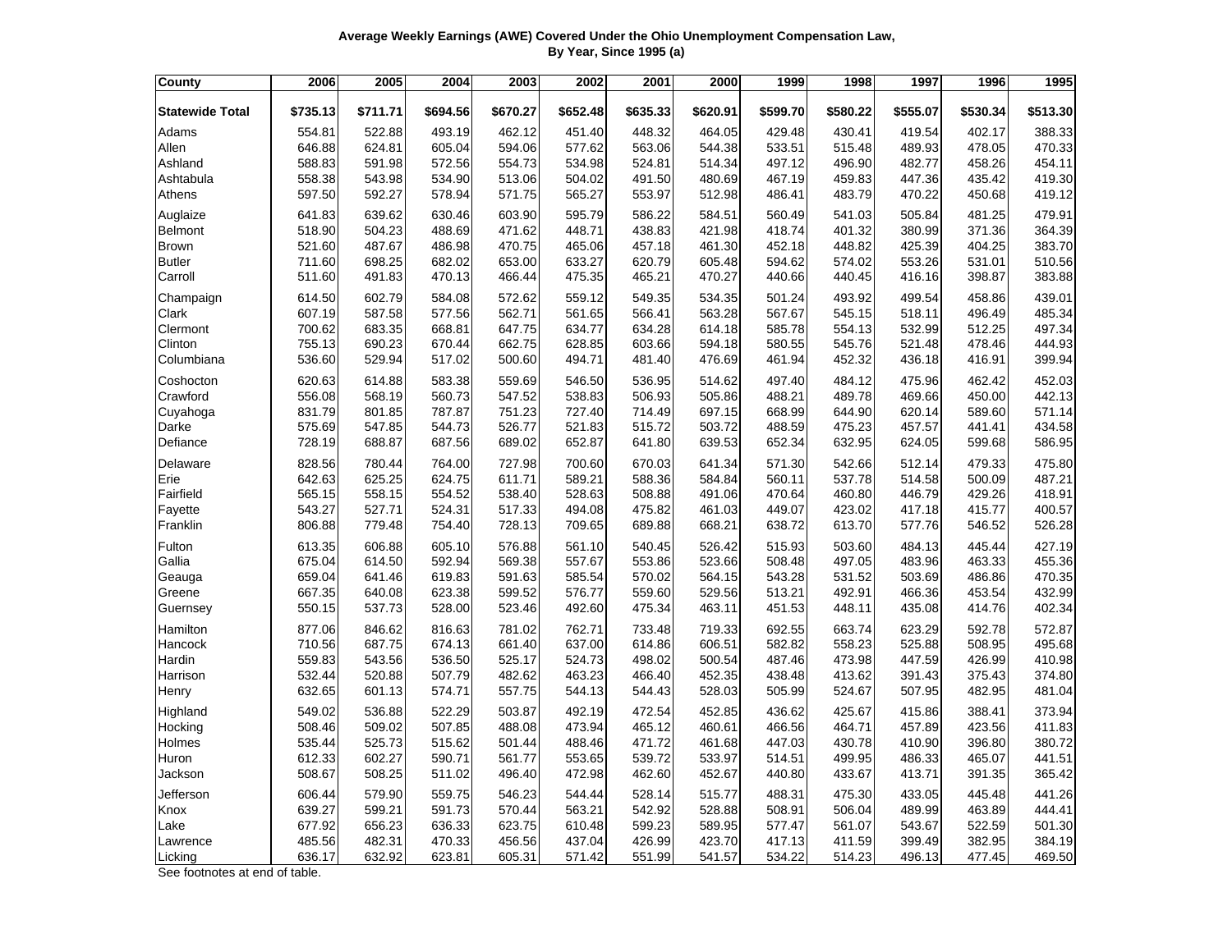| Average Weekly Earnings (AWE) Covered Under the Ohio Unemployment Compensation Law. |                         |  |
|-------------------------------------------------------------------------------------|-------------------------|--|
|                                                                                     | By Year, Since 1995 (a) |  |

| <b>County</b>          | 2006     | 2005     | 2004     | 2003     | 2002     | 2001     | 2000     | 1999     | 1998     | 1997     | 1996     | 1995     |
|------------------------|----------|----------|----------|----------|----------|----------|----------|----------|----------|----------|----------|----------|
| <b>Statewide Total</b> | \$735.13 | \$711.71 | \$694.56 | \$670.27 | \$652.48 | \$635.33 | \$620.91 | \$599.70 | \$580.22 | \$555.07 | \$530.34 | \$513.30 |
| Adams                  | 554.81   | 522.88   | 493.19   | 462.12   | 451.40   | 448.32   | 464.05   | 429.48   | 430.41   | 419.54   | 402.17   | 388.33   |
| Allen                  | 646.88   | 624.81   | 605.04   | 594.06   | 577.62   | 563.06   | 544.38   | 533.51   | 515.48   | 489.93   | 478.05   | 470.33   |
| Ashland                | 588.83   | 591.98   | 572.56   | 554.73   | 534.98   | 524.81   | 514.34   | 497.12   | 496.90   | 482.77   | 458.26   | 454.11   |
| Ashtabula              | 558.38   | 543.98   | 534.90   | 513.06   | 504.02   | 491.50   | 480.69   | 467.19   | 459.83   | 447.36   | 435.42   | 419.30   |
| Athens                 | 597.50   | 592.27   | 578.94   | 571.75   | 565.27   | 553.97   | 512.98   | 486.41   | 483.79   | 470.22   | 450.68   | 419.12   |
| Auglaize               | 641.83   | 639.62   | 630.46   | 603.90   | 595.79   | 586.22   | 584.51   | 560.49   | 541.03   | 505.84   | 481.25   | 479.91   |
| <b>Belmont</b>         | 518.90   | 504.23   | 488.69   | 471.62   | 448.71   | 438.83   | 421.98   | 418.74   | 401.32   | 380.99   | 371.36   | 364.39   |
| Brown                  | 521.60   | 487.67   | 486.98   | 470.75   | 465.06   | 457.18   | 461.30   | 452.18   | 448.82   | 425.39   | 404.25   | 383.70   |
| <b>Butler</b>          | 711.60   | 698.25   | 682.02   | 653.00   | 633.27   | 620.79   | 605.48   | 594.62   | 574.02   | 553.26   | 531.01   | 510.56   |
| Carroll                | 511.60   | 491.83   | 470.13   | 466.44   | 475.35   | 465.21   | 470.27   | 440.66   | 440.45   | 416.16   | 398.87   | 383.88   |
| Champaign              | 614.50   | 602.79   | 584.08   | 572.62   | 559.12   | 549.35   | 534.35   | 501.24   | 493.92   | 499.54   | 458.86   | 439.01   |
| Clark                  | 607.19   | 587.58   | 577.56   | 562.71   | 561.65   | 566.41   | 563.28   | 567.67   | 545.15   | 518.11   | 496.49   | 485.34   |
| Clermont               | 700.62   | 683.35   | 668.81   | 647.75   | 634.77   | 634.28   | 614.18   | 585.78   | 554.13   | 532.99   | 512.25   | 497.34   |
| Clinton                | 755.13   | 690.23   | 670.44   | 662.75   | 628.85   | 603.66   | 594.18   | 580.55   | 545.76   | 521.48   | 478.46   | 444.93   |
| Columbiana             | 536.60   | 529.94   | 517.02   | 500.60   | 494.71   | 481.40   | 476.69   | 461.94   | 452.32   | 436.18   | 416.91   | 399.94   |
| Coshocton              | 620.63   | 614.88   | 583.38   | 559.69   | 546.50   | 536.95   | 514.62   | 497.40   | 484.12   | 475.96   | 462.42   | 452.03   |
| Crawford               | 556.08   | 568.19   | 560.73   | 547.52   | 538.83   | 506.93   | 505.86   | 488.21   | 489.78   | 469.66   | 450.00   | 442.13   |
| Cuyahoga               | 831.79   | 801.85   | 787.87   | 751.23   | 727.40   | 714.49   | 697.15   | 668.99   | 644.90   | 620.14   | 589.60   | 571.14   |
| Darke                  | 575.69   | 547.85   | 544.73   | 526.77   | 521.83   | 515.72   | 503.72   | 488.59   | 475.23   | 457.57   | 441.41   | 434.58   |
| Defiance               | 728.19   | 688.87   | 687.56   | 689.02   | 652.87   | 641.80   | 639.53   | 652.34   | 632.95   | 624.05   | 599.68   | 586.95   |
| Delaware               | 828.56   | 780.44   | 764.00   | 727.98   | 700.60   | 670.03   | 641.34   | 571.30   | 542.66   | 512.14   | 479.33   | 475.80   |
| Erie                   | 642.63   | 625.25   | 624.75   | 611.71   | 589.21   | 588.36   | 584.84   | 560.11   | 537.78   | 514.58   | 500.09   | 487.21   |
| Fairfield              | 565.15   | 558.15   | 554.52   | 538.40   | 528.63   | 508.88   | 491.06   | 470.64   | 460.80   | 446.79   | 429.26   | 418.91   |
| Fayette                | 543.27   | 527.71   | 524.31   | 517.33   | 494.08   | 475.82   | 461.03   | 449.07   | 423.02   | 417.18   | 415.77   | 400.57   |
| Franklin               | 806.88   | 779.48   | 754.40   | 728.13   | 709.65   | 689.88   | 668.21   | 638.72   | 613.70   | 577.76   | 546.52   | 526.28   |
| Fulton                 | 613.35   | 606.88   | 605.10   | 576.88   | 561.10   | 540.45   | 526.42   | 515.93   | 503.60   | 484.13   | 445.44   | 427.19   |
| Gallia                 | 675.04   | 614.50   | 592.94   | 569.38   | 557.67   | 553.86   | 523.66   | 508.48   | 497.05   | 483.96   | 463.33   | 455.36   |
| Geauga                 | 659.04   | 641.46   | 619.83   | 591.63   | 585.54   | 570.02   | 564.15   | 543.28   | 531.52   | 503.69   | 486.86   | 470.35   |
| Greene                 | 667.35   | 640.08   | 623.38   | 599.52   | 576.77   | 559.60   | 529.56   | 513.21   | 492.91   | 466.36   | 453.54   | 432.99   |
| Guernsey               | 550.15   | 537.73   | 528.00   | 523.46   | 492.60   | 475.34   | 463.11   | 451.53   | 448.11   | 435.08   | 414.76   | 402.34   |
| Hamilton               | 877.06   | 846.62   | 816.63   | 781.02   | 762.71   | 733.48   | 719.33   | 692.55   | 663.74   | 623.29   | 592.78   | 572.87   |
| Hancock                | 710.56   | 687.75   | 674.13   | 661.40   | 637.00   | 614.86   | 606.51   | 582.82   | 558.23   | 525.88   | 508.95   | 495.68   |
| Hardin                 | 559.83   | 543.56   | 536.50   | 525.17   | 524.73   | 498.02   | 500.54   | 487.46   | 473.98   | 447.59   | 426.99   | 410.98   |
| Harrison               | 532.44   | 520.88   | 507.79   | 482.62   | 463.23   | 466.40   | 452.35   | 438.48   | 413.62   | 391.43   | 375.43   | 374.80   |
| Henry                  | 632.65   | 601.13   | 574.71   | 557.75   | 544.13   | 544.43   | 528.03   | 505.99   | 524.67   | 507.95   | 482.95   | 481.04   |
| Highland               | 549.02   | 536.88   | 522.29   | 503.87   | 492.19   | 472.54   | 452.85   | 436.62   | 425.67   | 415.86   | 388.41   | 373.94   |
| Hocking                | 508.46   | 509.02   | 507.85   | 488.08   | 473.94   | 465.12   | 460.61   | 466.56   | 464.71   | 457.89   | 423.56   | 411.83   |
| Holmes                 | 535.44   | 525.73   | 515.62   | 501.44   | 488.46   | 471.72   | 461.68   | 447.03   | 430.78   | 410.90   | 396.80   | 380.72   |
| Huron                  | 612.33   | 602.27   | 590.71   | 561.77   | 553.65   | 539.72   | 533.97   | 514.51   | 499.95   | 486.33   | 465.07   | 441.51   |
| Jackson                | 508.67   | 508.25   | 511.02   | 496.40   | 472.98   | 462.60   | 452.67   | 440.80   | 433.67   | 413.71   | 391.35   | 365.42   |
| Jefferson              | 606.44   | 579.90   | 559.75   | 546.23   | 544.44   | 528.14   | 515.77   | 488.31   | 475.30   | 433.05   | 445.48   | 441.26   |
| Knox                   | 639.27   | 599.21   | 591.73   | 570.44   | 563.21   | 542.92   | 528.88   | 508.91   | 506.04   | 489.99   | 463.89   | 444.41   |
| Lake                   | 677.92   | 656.23   | 636.33   | 623.75   | 610.48   | 599.23   | 589.95   | 577.47   | 561.07   | 543.67   | 522.59   | 501.30   |
| Lawrence               | 485.56   | 482.31   | 470.33   | 456.56   | 437.04   | 426.99   | 423.70   | 417.13   | 411.59   | 399.49   | 382.95   | 384.19   |
| Licking                | 636.17   | 632.92   | 623.81   | 605.31   | 571.42   | 551.99   | 541.57   | 534.22   | 514.23   | 496.13   | 477.45   | 469.50   |
|                        |          |          |          |          |          |          |          |          |          |          |          |          |

See footnotes at end of table.